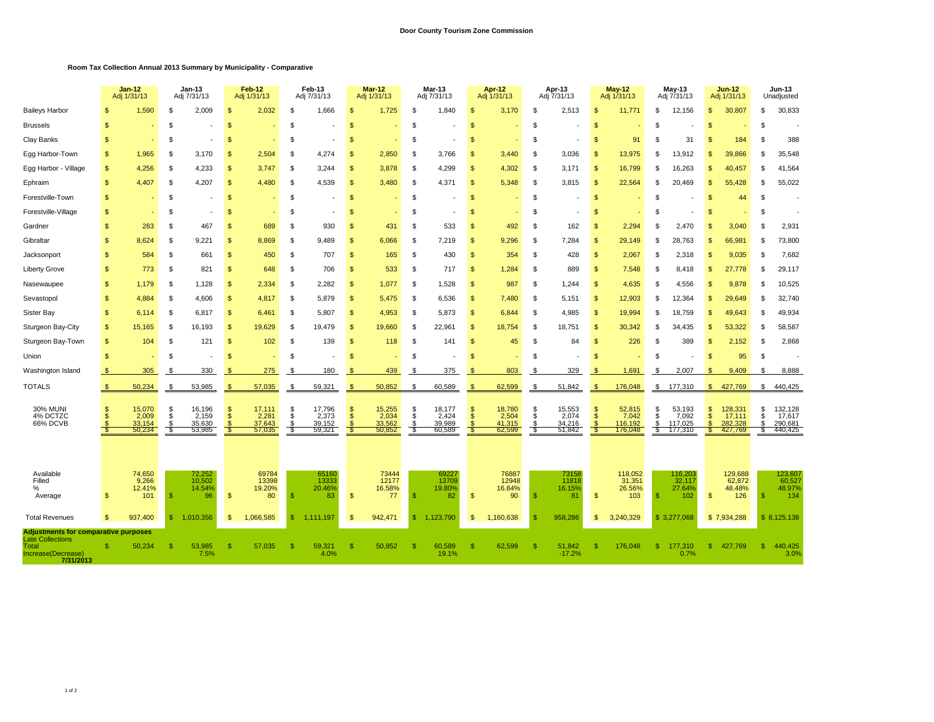## **Room Tax Collection Annual 2013 Summary by Municipality - Comparative**

|                                                                     | $Jan-12$<br>Adj 1/31/13 |                                             | Jan-13<br>Adj 7/31/13     |                                               | Feb-12<br>Adj 1/31/13      |                                             | Feb-13<br>Adj 7/31/13 |                                             | <b>Mar-12</b><br>Adj 1/31/13 |                                           | <b>Mar-13</b><br>Adj 7/31/13 |                                             | Apr-12<br>Adj 1/31/13          |                                             | Apr-13<br>Adj 7/31/13 |                                           | $May-12$<br>Adj 1/31/13 |                                                 | May-13<br>Adj 7/31/13   |                                                   | <b>Jun-12</b><br>Adj 1/31/13 |                                                   | <b>Jun-13</b><br>Unadjusted |                                                   |
|---------------------------------------------------------------------|-------------------------|---------------------------------------------|---------------------------|-----------------------------------------------|----------------------------|---------------------------------------------|-----------------------|---------------------------------------------|------------------------------|-------------------------------------------|------------------------------|---------------------------------------------|--------------------------------|---------------------------------------------|-----------------------|-------------------------------------------|-------------------------|-------------------------------------------------|-------------------------|---------------------------------------------------|------------------------------|---------------------------------------------------|-----------------------------|---------------------------------------------------|
| <b>Baileys Harbor</b>                                               |                         | 1.590                                       | \$                        | 2.009                                         | \$                         | 2.032                                       | £.                    | 1.666                                       | -S                           | 1.725                                     | \$                           | 1.840                                       | $\mathfrak{s}$                 | 3.170                                       | -S                    | 2,513                                     | \$                      | 11.77'                                          | \$.                     | 12.156                                            | \$.                          | 30,807                                            | \$                          | 30,833                                            |
| <b>Brussels</b>                                                     | \$.                     |                                             | \$                        |                                               | \$                         |                                             | \$.                   |                                             | $\mathfrak{L}$               |                                           | \$                           |                                             | $\mathfrak{s}$                 |                                             | -S                    |                                           | \$                      |                                                 |                         |                                                   | \$                           |                                                   | \$                          |                                                   |
| Clay Banks                                                          | \$                      |                                             | £                         |                                               | \$                         |                                             | - \$                  |                                             | -S                           |                                           | \$                           |                                             | <sup>\$</sup>                  |                                             | <sub>\$</sub>         |                                           | \$                      | 91                                              | \$.                     | 31                                                | \$.                          | 184                                               | \$                          | 388                                               |
| Egg Harbor-Town                                                     | \$                      | 1,965                                       | \$                        | 3,170                                         | <sub>\$</sub>              | 2,504                                       | - \$                  | 4,274                                       | $\mathfrak{s}$               | 2,850                                     | \$                           | 3,766                                       | $\mathfrak{s}$                 | 3,440                                       | \$                    | 3,036                                     | <sub>\$</sub>           | 13,975                                          | \$.                     | 13,912                                            | <b>S</b>                     | 39,866                                            | \$                          | 35,548                                            |
| Egg Harbor - Village                                                | $\mathbf{s}$            | 4,256                                       | \$                        | 4,233                                         | \$                         | 3,747                                       | - \$                  | 3,244                                       | $\mathfrak{s}$               | 3,878                                     | \$                           | 4,299                                       | <b>S</b>                       | 4,302                                       | <b>S</b>              | 3,171                                     | \$                      | 16,799                                          |                         | 16,263                                            |                              | 40,457                                            | \$                          | 41,564                                            |
| Ephraim                                                             | \$                      | 4.407                                       | .S                        | 4,207                                         | $\mathfrak{s}$             | 4.480                                       | - \$                  | 4.539                                       | $\mathbb{S}$                 | 3.480                                     | \$                           | 4,371                                       | $\mathbb{S}$                   | 5.348                                       | S                     | 3,815                                     | \$                      | 22,564                                          |                         | 20.469                                            | \$.                          | 55.428                                            | \$                          | 55,022                                            |
| Forestville-Town                                                    | \$                      |                                             | \$                        |                                               | $\mathbf{s}$               |                                             | <b>S</b>              |                                             | $\mathfrak{L}$               |                                           | \$                           |                                             | <sub>\$</sub>                  |                                             | \$                    |                                           | \$                      |                                                 | \$.                     |                                                   | <b>S</b>                     | 44                                                | <sup>\$</sup>               |                                                   |
| Forestville-Village                                                 | $\mathbf{s}$            |                                             | \$                        |                                               | <sup>\$</sup>              |                                             | \$                    |                                             | $\mathfrak{s}$               |                                           | \$                           |                                             | $\mathsf{s}$                   |                                             | \$                    |                                           | \$                      |                                                 | \$.                     |                                                   | <b>S</b>                     |                                                   | \$                          |                                                   |
| Gardner                                                             | \$                      | 283                                         | \$                        | 467                                           | \$                         | 689                                         | \$                    | 930                                         | $\mathfrak{s}$               | 431                                       | \$                           | 533                                         | <b>S</b>                       | 492                                         | <b>S</b>              | 162                                       | \$                      | 2,294                                           |                         | 2,470                                             |                              | 3,040                                             | \$                          | 2,931                                             |
| Gibraltar                                                           | \$                      | 8.624                                       | \$                        | 9.221                                         | <b>S</b>                   | 8.869                                       | \$                    | 9.489                                       | $\mathfrak{s}$               | 6,066                                     | \$                           | 7,219                                       | $\mathbb{S}$                   | 9.296                                       | S                     | 7,284                                     | \$                      | 29.149                                          | £.                      | 28.763                                            | S.                           | 66,981                                            | \$                          | 73,800                                            |
| Jacksonport                                                         | $\mathfrak{s}$          | 584                                         | \$                        | 661                                           | $\mathbf{s}$               | 450                                         | - \$                  | 707                                         | $\mathfrak{S}$               | 165                                       | \$                           | 430                                         | $\mathfrak{s}$                 | 354                                         | \$                    | 428                                       | $\mathbf{s}$            | 2,067                                           | -S                      | 2,318                                             | $\mathbf{s}$                 | 9,035                                             | <sup>\$</sup>               | 7,682                                             |
| <b>Liberty Grove</b>                                                | \$                      | 773                                         | \$                        | 821                                           | $\mathbf{s}$               | 648                                         | \$                    | 706                                         | $\mathfrak{s}$               | 533                                       | \$                           | 717                                         | $\mathfrak{s}$                 | 1,284                                       | \$                    | 889                                       | $\mathfrak{s}$          | 7,548                                           | -S                      | 8,418                                             | <b>S</b>                     | 27,778                                            | <b>S</b>                    | 29,117                                            |
| Nasewaupee                                                          | \$                      | 1,179                                       | \$                        | 1,128                                         | $\mathbf{s}$               | 2,334                                       | \$                    | 2,282                                       | $\mathfrak{s}$               | 1,077                                     | \$                           | 1,528                                       | $\mathfrak{s}$                 | 987                                         | \$                    | 1,244                                     | \$                      | 4,635                                           | £.                      | 4,556                                             | \$                           | 9,878                                             | \$                          | 10,525                                            |
| Sevastopol                                                          | \$                      | 4.884                                       | \$                        | 4.606                                         | $\mathbf{s}$               | 4,817                                       | \$                    | 5.879                                       | $\mathfrak{s}$               | 5.475                                     | \$                           | 6,536                                       | $\mathfrak{s}$                 | 7,480                                       | S                     | 5,151                                     | \$                      | 12,903                                          | - 35                    | 12.364                                            | S                            | 29,649                                            | \$                          | 32,740                                            |
| Sister Bay                                                          | \$                      | 6.114                                       | \$                        | 6,817                                         | $\mathfrak{s}$             | 6,461                                       | \$                    | 5,807                                       | $\mathfrak{s}$               | 4,953                                     | \$                           | 5,873                                       | $\mathfrak{s}$                 | 6,844                                       | \$                    | 4,985                                     | \$                      | 19,994                                          | \$.                     | 18,759                                            | <b>S</b>                     | 49,643                                            | \$                          | 49,934                                            |
| Sturgeon Bay-City                                                   | $\mathbf{s}$            | 15,165                                      | \$                        | 16,193                                        | $\mathfrak{s}$             | 19,629                                      | - \$                  | 19,479                                      | $\mathfrak{s}$               | 19,660                                    | \$                           | 22,961                                      | $\mathfrak{s}$                 | 18,754                                      | \$                    | 18,751                                    | \$                      | 30,342                                          | \$.                     | 34,435                                            | $\mathbf{s}$                 | 53,322                                            | \$                          | 58,587                                            |
| Sturgeon Bay-Town                                                   | $\sqrt{3}$              | 104                                         | \$                        | 121                                           | $\sqrt{2}$                 | 102                                         | \$                    | 139                                         | $\mathfrak{s}$               | 118                                       | \$                           | 141                                         | $\mathfrak{s}$                 | 45                                          | \$                    | 84                                        | \$                      | 226                                             | £.                      | 389                                               | <b>S</b>                     | 2,152                                             | \$                          | 2,868                                             |
| Union                                                               | \$                      |                                             | \$                        |                                               | <sup>\$</sup>              |                                             | - \$                  |                                             | <b>S</b>                     |                                           | \$                           |                                             | <sup>\$</sup>                  |                                             | <b>S</b>              |                                           | \$                      |                                                 | \$.                     |                                                   | -S                           | 95                                                | <b>S</b>                    |                                                   |
| Washington Island                                                   | $\mathfrak{s}$          | 305                                         | -S                        | 330                                           | -\$                        | 275                                         | - \$                  | 180                                         | <b>S</b>                     | 439                                       | \$                           | 375                                         | - \$                           | 803                                         | \$                    | 329                                       | <b>S</b>                | 1,691                                           | -S                      | 2,007                                             | <b>S</b>                     | 9,409                                             | \$.                         | 8,888                                             |
| <b>TOTALS</b>                                                       | S                       | 50,234                                      | \$                        | 53,985                                        |                            | 57,035                                      |                       | 59,321                                      |                              | 50,852                                    | \$                           | 60,589                                      | -S                             | 62,599                                      | -S                    | 51,842                                    |                         | 176,048                                         | \$                      | 177,310                                           | s.                           | 427,769                                           | \$                          | 440,425                                           |
| <b>30% MUNI</b><br>4% DCTZC<br>66% DCVB                             | \$                      | 15,070<br>2,009<br>33,154<br>50,234         | \$<br>\$<br>$\frac{1}{3}$ | 16,196<br>2,159<br>35,630<br>53,985           | \$<br>$\mathfrak{s}$       | 17,111<br>2,281<br>37,643<br>57,035         | \$<br>\$<br>\$<br>-8  | 17,796<br>2,373<br>39,152<br>59,321         | S.<br>$\mathbb{S}$           | 15,255<br>2,034<br>33,562<br>50,852       | \$<br>\$<br>\$<br>-5         | 18,177<br>2,424<br>39,989<br>60,589         | $\mathsf{\$}$<br><sub>\$</sub> | 18,780<br>2,504<br>41,315<br>62,599         | \$<br>\$<br>-S        | 15,553<br>2,074<br>34,216<br>51,842       | \$<br>\$                | 52,815<br>7,042<br>116,192<br>176,048           | -S<br>\$.<br>\$<br>- \$ | 53,193<br>7,092<br>117,025<br>177,310             | S<br>\$                      | 128,331<br>17,111<br>282,328<br>427,769           | \$<br>\$<br>\$<br>S         | 132,128<br>17,617<br>290,681<br>440,425           |
| Available<br>Filled<br>%<br>Average<br><b>Total Revenues</b>        | <b>S</b><br>\$          | 74,650<br>9,266<br>12.41%<br>101<br>937.400 | -\$<br>s.                 | 72,252<br>10,502<br>14.54%<br>96<br>1.010.356 | $\mathfrak{s}$<br><b>S</b> | 69784<br>13398<br>19.20%<br>80<br>1.066.585 | -SS<br>\$.            | 65160<br>13333<br>20.46%<br>83<br>1.111.197 | \$<br>S.                     | 73444<br>12177<br>16.58%<br>77<br>942,471 | -S<br><b>S</b>               | 69227<br>13709<br>19.80%<br>82<br>1.123.790 | $\mathfrak{s}$<br>S.           | 76887<br>12948<br>16.84%<br>90<br>1.160.638 | - \$<br>- \$          | 73158<br>11818<br>16.15%<br>81<br>958.286 | \$<br>\$                | 118,052<br>31,351<br>26.56%<br>103<br>3,240,329 |                         | 116,203<br>32,117<br>27.64%<br>102<br>\$3.277.068 | $\mathbb{S}$                 | 129,688<br>62,872<br>48.48%<br>126<br>\$7,934,288 | \$                          | 123,607<br>60,527<br>48.97%<br>134<br>\$8,125,138 |
| <b>Adjustments for comparative purposes</b>                         |                         |                                             |                           |                                               |                            |                                             |                       |                                             |                              |                                           |                              |                                             |                                |                                             |                       |                                           |                         |                                                 |                         |                                                   |                              |                                                   |                             |                                                   |
| <b>Late Collections</b><br>Total<br>Increase(Decrease)<br>7/31/2013 | <b>S</b>                | 50,234                                      | s                         | 53,985<br>7.5%                                | <sup>\$</sup>              | 57,035                                      | -\$                   | 59,321<br>4.0%                              | <b>S</b>                     | 50,852                                    | -\$                          | 60,589<br>19.1%                             | <sup>\$</sup>                  | 62,599                                      | -96                   | 51,842<br>$-17.2%$                        | \$                      | 176,048                                         | -S                      | 177,310<br>0.7%                                   | <b>S</b>                     | 427,769                                           | <b>S</b>                    | 440,425<br>3.0%                                   |